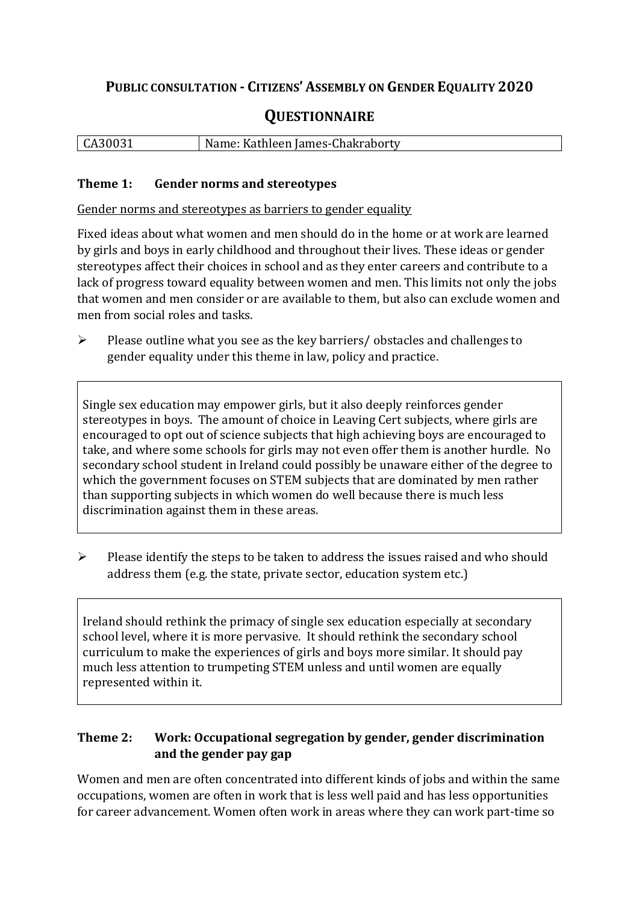# **PUBLIC CONSULTATION - CITIZENS' ASSEMBLY ON GENDER EQUALITY 2020**

# **QUESTIONNAIRE**

| CA30031 | Name: Kathleen James-Chakraborty |
|---------|----------------------------------|
|         |                                  |

#### **Theme 1: Gender norms and stereotypes**

Gender norms and stereotypes as barriers to gender equality

Fixed ideas about what women and men should do in the home or at work are learned by girls and boys in early childhood and throughout their lives. These ideas or gender stereotypes affect their choices in school and as they enter careers and contribute to a lack of progress toward equality between women and men. This limits not only the jobs that women and men consider or are available to them, but also can exclude women and men from social roles and tasks.

➢ Please outline what you see as the key barriers/ obstacles and challenges to gender equality under this theme in law, policy and practice.

Single sex education may empower girls, but it also deeply reinforces gender stereotypes in boys. The amount of choice in Leaving Cert subjects, where girls are encouraged to opt out of science subjects that high achieving boys are encouraged to take, and where some schools for girls may not even offer them is another hurdle. No secondary school student in Ireland could possibly be unaware either of the degree to which the government focuses on STEM subjects that are dominated by men rather than supporting subjects in which women do well because there is much less discrimination against them in these areas.

➢ Please identify the steps to be taken to address the issues raised and who should address them (e.g. the state, private sector, education system etc.)

Ireland should rethink the primacy of single sex education especially at secondary school level, where it is more pervasive. It should rethink the secondary school curriculum to make the experiences of girls and boys more similar. It should pay much less attention to trumpeting STEM unless and until women are equally represented within it.

### **Theme 2: Work: Occupational segregation by gender, gender discrimination and the gender pay gap**

Women and men are often concentrated into different kinds of jobs and within the same occupations, women are often in work that is less well paid and has less opportunities for career advancement. Women often work in areas where they can work part-time so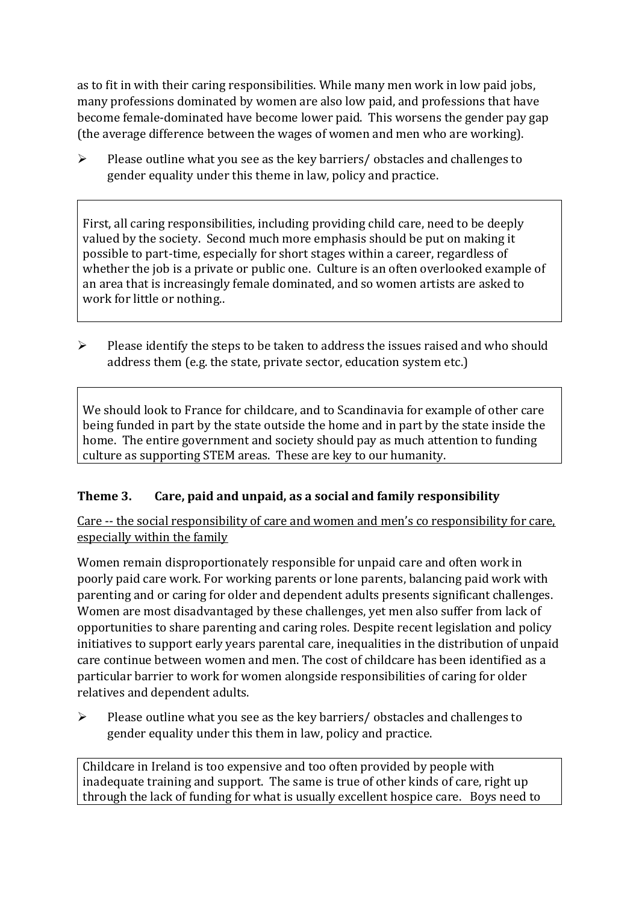as to fit in with their caring responsibilities. While many men work in low paid jobs, many professions dominated by women are also low paid, and professions that have become female-dominated have become lower paid. This worsens the gender pay gap (the average difference between the wages of women and men who are working).

 $\triangleright$  Please outline what you see as the key barriers/ obstacles and challenges to gender equality under this theme in law, policy and practice.

First, all caring responsibilities, including providing child care, need to be deeply valued by the society. Second much more emphasis should be put on making it possible to part-time, especially for short stages within a career, regardless of whether the job is a private or public one. Culture is an often overlooked example of an area that is increasingly female dominated, and so women artists are asked to work for little or nothing..

 $\triangleright$  Please identify the steps to be taken to address the issues raised and who should address them (e.g. the state, private sector, education system etc.)

We should look to France for childcare, and to Scandinavia for example of other care being funded in part by the state outside the home and in part by the state inside the home. The entire government and society should pay as much attention to funding culture as supporting STEM areas. These are key to our humanity.

## **Theme 3. Care, paid and unpaid, as a social and family responsibility**

Care -- the social responsibility of care and women and men's co responsibility for care, especially within the family

Women remain disproportionately responsible for unpaid care and often work in poorly paid care work. For working parents or [lone parents,](https://aran.library.nuigalway.ie/bitstream/handle/10379/6044/Millar_and_Crosse_Activation_Report.pdf?sequence=1&isAllowed=y) balancing paid work with parenting and or caring for older and dependent adults presents significant challenges. Women are [most disadvantaged by these challenges,](https://eige.europa.eu/gender-equality-index/game/IE/W) yet men also suffer from lack of opportunities to share parenting and caring roles. Despite recent legislation and policy initiatives to support early years parental care, [inequalities in the distribution of unpaid](https://www.ihrec.ie/app/uploads/2019/07/Caring-and-Unpaid-Work-in-Ireland_Final.pdf)  [care](https://www.ihrec.ie/app/uploads/2019/07/Caring-and-Unpaid-Work-in-Ireland_Final.pdf) continue between women and men. The cost of childcare has been identified as a particular barrier to work for women alongside responsibilities of caring for older relatives and dependent adults.

➢ Please outline what you see as the key barriers/ obstacles and challenges to gender equality under this them in law, policy and practice.

Childcare in Ireland is too expensive and too often provided by people with inadequate training and support. The same is true of other kinds of care, right up through the lack of funding for what is usually excellent hospice care. Boys need to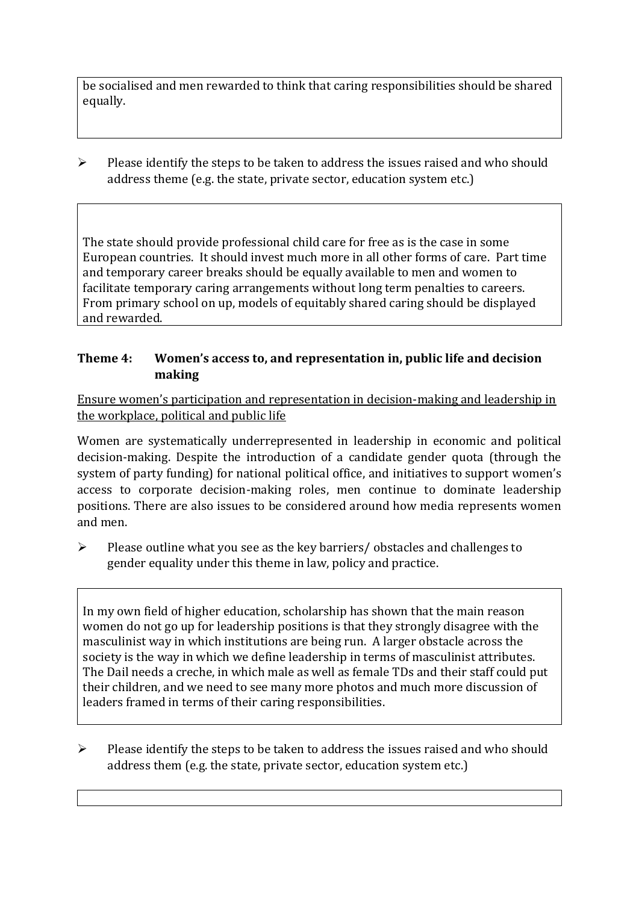be socialised and men rewarded to think that caring responsibilities should be shared equally.

 $\triangleright$  Please identify the steps to be taken to address the issues raised and who should address theme (e.g. the state, private sector, education system etc.)

The state should provide professional child care for free as is the case in some European countries. It should invest much more in all other forms of care. Part time and temporary career breaks should be equally available to men and women to facilitate temporary caring arrangements without long term penalties to careers. From primary school on up, models of equitably shared caring should be displayed and rewarded.

#### **Theme 4: Women's access to, and representation in, public life and decision making**

Ensure women's participation and representation in decision-making and leadership in the workplace, political and public life

Women are systematically underrepresented in leadership in [economic](https://eige.europa.eu/gender-equality-index/2019/compare-countries/power/2/bar) and [political](https://eige.europa.eu/gender-equality-index/2019/compare-countries/power/1/bar)  [decision-](https://eige.europa.eu/gender-equality-index/2019/compare-countries/power/1/bar)making. Despite the introduction of a candidate gender quota (through the system of party funding) for national political office, and [initiatives](https://betterbalance.ie/) to support women's access to corporate decision-making roles, men continue to dominate leadership positions. There are also issues to be considered around how media represents women and men.

➢ Please outline what you see as the key barriers/ obstacles and challenges to gender equality under this theme in law, policy and practice.

In my own field of higher education, scholarship has shown that the main reason women do not go up for leadership positions is that they strongly disagree with the masculinist way in which institutions are being run. A larger obstacle across the society is the way in which we define leadership in terms of masculinist attributes. The Dail needs a creche, in which male as well as female TDs and their staff could put their children, and we need to see many more photos and much more discussion of leaders framed in terms of their caring responsibilities.

 $\triangleright$  Please identify the steps to be taken to address the issues raised and who should address them (e.g. the state, private sector, education system etc.)